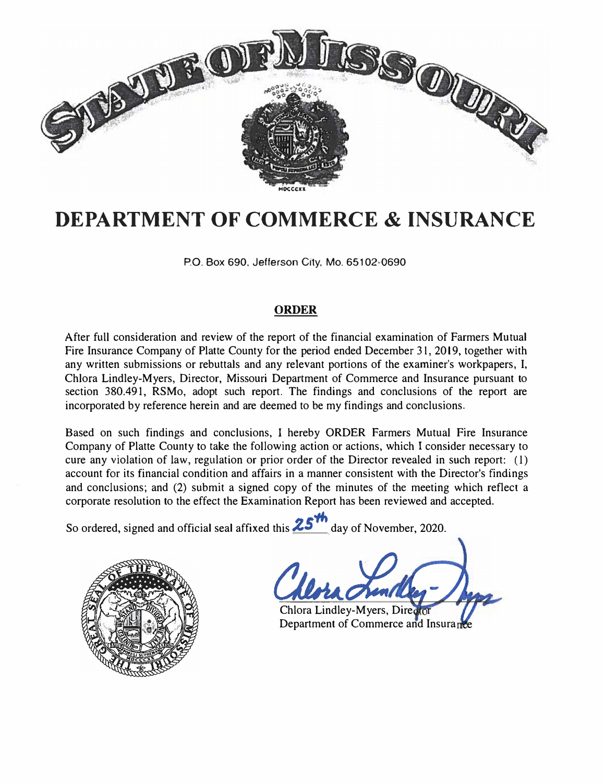

# **DEPARTMENT OF COMMERCE & INSURANCE**

P.O. Box 690, Jefferson City, Mo. 65102•0690

# **ORDER**

After full consideration and review of the report of the financial examination of Farmers Mutual Fire Insurance Company of Platte County for the period ended December 31, 2019, together with any written submissions or rebuttals and any relevant portions of the examiner's workpapers, I, Chlora Lindley-Myers, Director, Missouri Department of Commerce and Insurance pursuant to section 380.491, RSMo, adopt such report. The findings and conclusions of the report are incorporated by reference herein and are deemed to be my findings and conclusions.

Based on such findings and conclusions, I hereby ORDER Farmers Mutual Fire Insurance Company of Platte County to take the following action or actions, which I consider necessary to cure any violation of law, regulation or prior order of the Director revealed in such report: (l) account for its financial condition and affairs in a manner consistent with the Director's findings and conclusions; and (2) submit a signed copy of the minutes of the meeting which reflect a corporate resolution to the effect the Examination Report has been reviewed and accepted.

So ordered, signed and official seal affixed this 25 day of November, 2020.



Chlora Lindley-Myers, Direa Department of Commerce and Insurance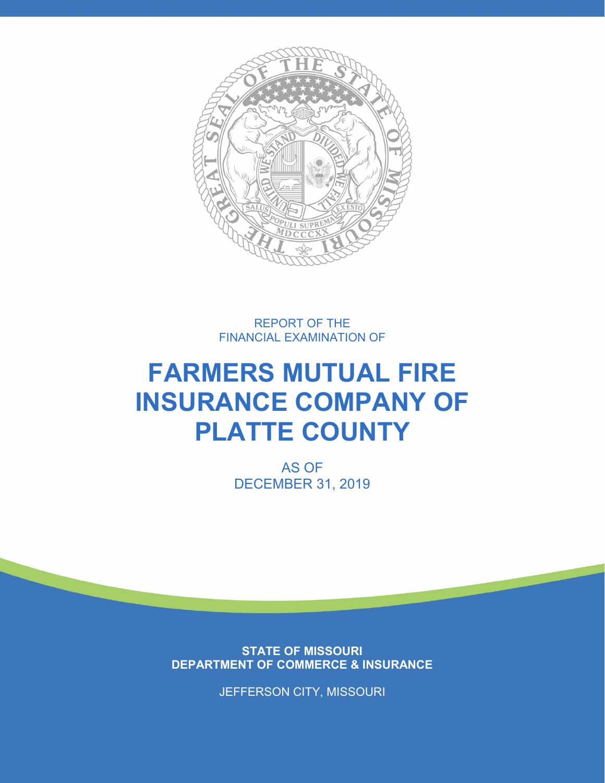

REPORT OF THE FINANCIAL EXAMINATION OF

# **FARMERS MUTUAL FIRE INSURANCE COMPANY OF PLATTE COUNTY**

AS OF DECEMBER 31, 2019

**STATE OF MISSOURI DEPARTMENT OF COMMERCE & INSURANCE**

JEFFERSON CITY, MISSOURI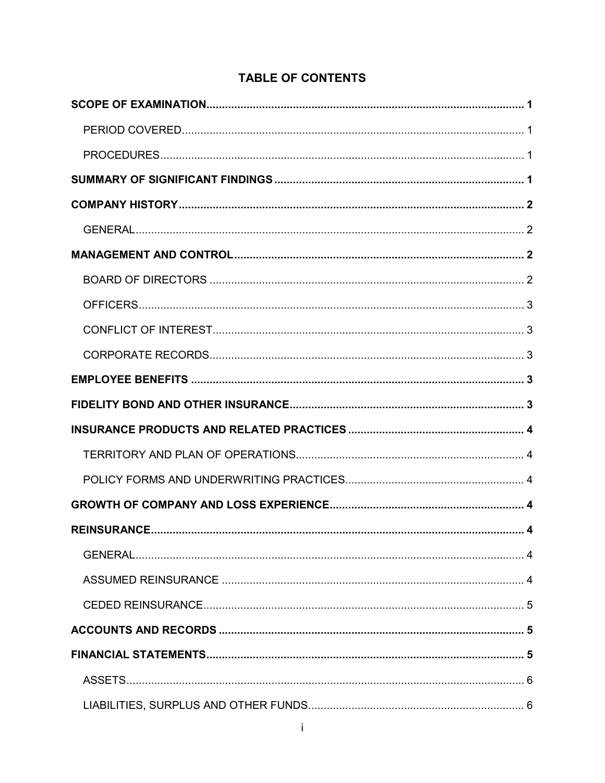# **TABLE OF CONTENTS**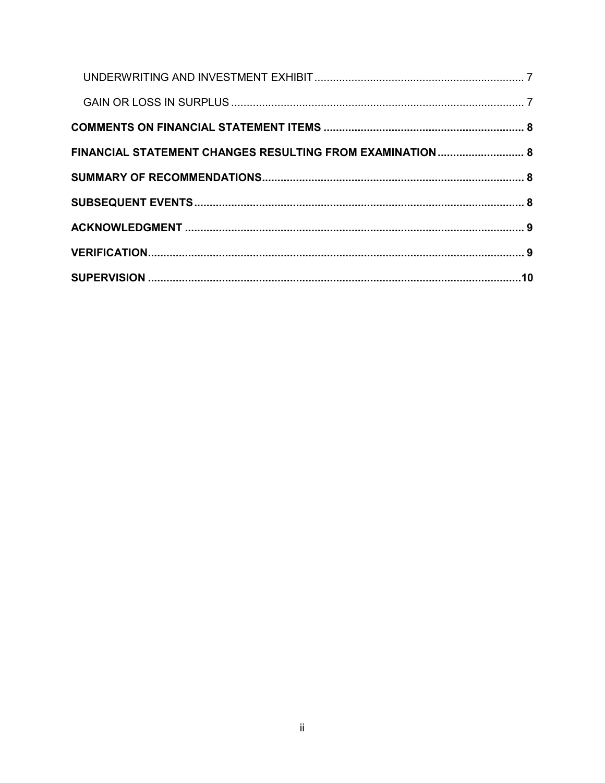| FINANCIAL STATEMENT CHANGES RESULTING FROM EXAMINATION 8 |  |
|----------------------------------------------------------|--|
|                                                          |  |
|                                                          |  |
|                                                          |  |
|                                                          |  |
|                                                          |  |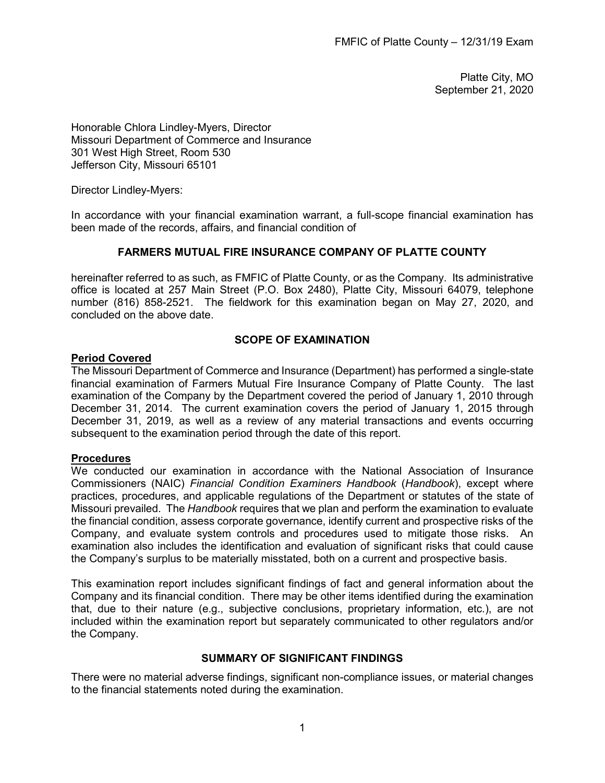Platte City, MO September 21, 2020

Honorable Chlora Lindley-Myers, Director Missouri Department of Commerce and Insurance 301 West High Street, Room 530 Jefferson City, Missouri 65101

Director Lindley-Myers:

In accordance with your financial examination warrant, a full-scope financial examination has been made of the records, affairs, and financial condition of

# **FARMERS MUTUAL FIRE INSURANCE COMPANY OF PLATTE COUNTY**

hereinafter referred to as such, as FMFIC of Platte County, or as the Company. Its administrative office is located at 257 Main Street (P.O. Box 2480), Platte City, Missouri 64079, telephone number (816) 858-2521. The fieldwork for this examination began on May 27, 2020, and concluded on the above date.

#### **SCOPE OF EXAMINATION**

#### <span id="page-4-1"></span><span id="page-4-0"></span>**Period Covered**

The Missouri Department of Commerce and Insurance (Department) has performed a single-state financial examination of Farmers Mutual Fire Insurance Company of Platte County. The last examination of the Company by the Department covered the period of January 1, 2010 through December 31, 2014. The current examination covers the period of January 1, 2015 through December 31, 2019, as well as a review of any material transactions and events occurring subsequent to the examination period through the date of this report.

#### <span id="page-4-2"></span>**Procedures**

We conducted our examination in accordance with the National Association of Insurance Commissioners (NAIC) *Financial Condition Examiners Handbook* (*Handbook*), except where practices, procedures, and applicable regulations of the Department or statutes of the state of Missouri prevailed. The *Handbook* requires that we plan and perform the examination to evaluate the financial condition, assess corporate governance, identify current and prospective risks of the Company, and evaluate system controls and procedures used to mitigate those risks. An examination also includes the identification and evaluation of significant risks that could cause the Company's surplus to be materially misstated, both on a current and prospective basis.

This examination report includes significant findings of fact and general information about the Company and its financial condition. There may be other items identified during the examination that, due to their nature (e.g., subjective conclusions, proprietary information, etc.), are not included within the examination report but separately communicated to other regulators and/or the Company.

#### **SUMMARY OF SIGNIFICANT FINDINGS**

<span id="page-4-3"></span>There were no material adverse findings, significant non-compliance issues, or material changes to the financial statements noted during the examination.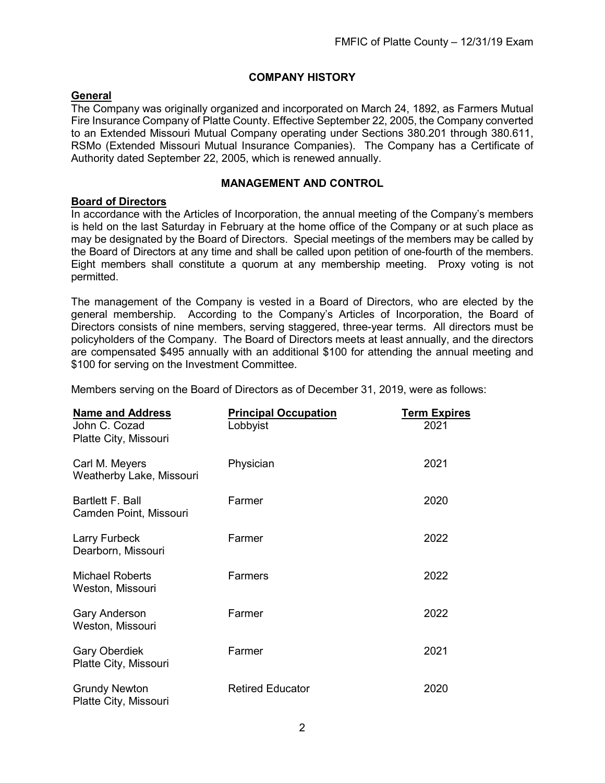# **COMPANY HISTORY**

# <span id="page-5-1"></span><span id="page-5-0"></span>**General**

The Company was originally organized and incorporated on March 24, 1892, as Farmers Mutual Fire Insurance Company of Platte County. Effective September 22, 2005, the Company converted to an Extended Missouri Mutual Company operating under Sections 380.201 through 380.611, RSMo (Extended Missouri Mutual Insurance Companies). The Company has a Certificate of Authority dated September 22, 2005, which is renewed annually.

# **MANAGEMENT AND CONTROL**

# <span id="page-5-3"></span><span id="page-5-2"></span>**Board of Directors**

In accordance with the Articles of Incorporation, the annual meeting of the Company's members is held on the last Saturday in February at the home office of the Company or at such place as may be designated by the Board of Directors. Special meetings of the members may be called by the Board of Directors at any time and shall be called upon petition of one-fourth of the members. Eight members shall constitute a quorum at any membership meeting. Proxy voting is not permitted.

The management of the Company is vested in a Board of Directors, who are elected by the general membership. According to the Company's Articles of Incorporation, the Board of Directors consists of nine members, serving staggered, three-year terms. All directors must be policyholders of the Company. The Board of Directors meets at least annually, and the directors are compensated \$495 annually with an additional \$100 for attending the annual meeting and \$100 for serving on the Investment Committee.

Members serving on the Board of Directors as of December 31, 2019, were as follows:

| <b>Name and Address</b>                       | <b>Principal Occupation</b> | <b>Term Expires</b> |
|-----------------------------------------------|-----------------------------|---------------------|
| John C. Cozad<br>Platte City, Missouri        | Lobbyist                    | 2021                |
| Carl M. Meyers<br>Weatherby Lake, Missouri    | Physician                   | 2021                |
| Bartlett F. Ball<br>Camden Point, Missouri    | Farmer                      | 2020                |
| Larry Furbeck<br>Dearborn, Missouri           | Farmer                      | 2022                |
| <b>Michael Roberts</b><br>Weston, Missouri    | <b>Farmers</b>              | 2022                |
| <b>Gary Anderson</b><br>Weston, Missouri      | Farmer                      | 2022                |
| <b>Gary Oberdiek</b><br>Platte City, Missouri | Farmer                      | 2021                |
| <b>Grundy Newton</b><br>Platte City, Missouri | <b>Retired Educator</b>     | 2020                |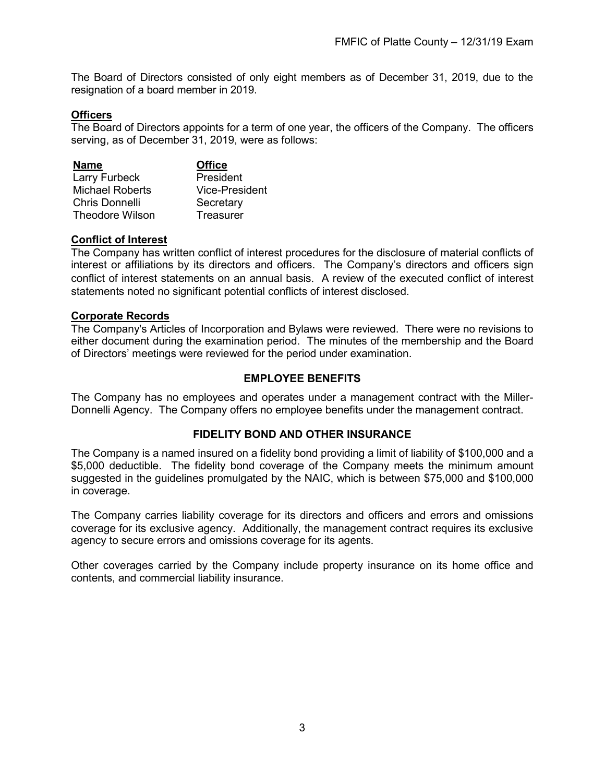The Board of Directors consisted of only eight members as of December 31, 2019, due to the resignation of a board member in 2019.

# <span id="page-6-0"></span>**Officers**

The Board of Directors appoints for a term of one year, the officers of the Company. The officers serving, as of December 31, 2019, were as follows:

| <b>Name</b>            | <b>Office</b>  |
|------------------------|----------------|
| Larry Furbeck          | President      |
| <b>Michael Roberts</b> | Vice-President |
| Chris Donnelli         | Secretary      |
| <b>Theodore Wilson</b> | Treasurer      |

#### <span id="page-6-1"></span>**Conflict of Interest**

The Company has written conflict of interest procedures for the disclosure of material conflicts of interest or affiliations by its directors and officers. The Company's directors and officers sign conflict of interest statements on an annual basis. A review of the executed conflict of interest statements noted no significant potential conflicts of interest disclosed.

#### <span id="page-6-2"></span>**Corporate Records**

The Company's Articles of Incorporation and Bylaws were reviewed. There were no revisions to either document during the examination period. The minutes of the membership and the Board of Directors' meetings were reviewed for the period under examination.

#### **EMPLOYEE BENEFITS**

<span id="page-6-3"></span>The Company has no employees and operates under a management contract with the Miller-Donnelli Agency. The Company offers no employee benefits under the management contract.

# **FIDELITY BOND AND OTHER INSURANCE**

<span id="page-6-4"></span>The Company is a named insured on a fidelity bond providing a limit of liability of \$100,000 and a \$5,000 deductible. The fidelity bond coverage of the Company meets the minimum amount suggested in the guidelines promulgated by the NAIC, which is between \$75,000 and \$100,000 in coverage.

The Company carries liability coverage for its directors and officers and errors and omissions coverage for its exclusive agency. Additionally, the management contract requires its exclusive agency to secure errors and omissions coverage for its agents.

Other coverages carried by the Company include property insurance on its home office and contents, and commercial liability insurance.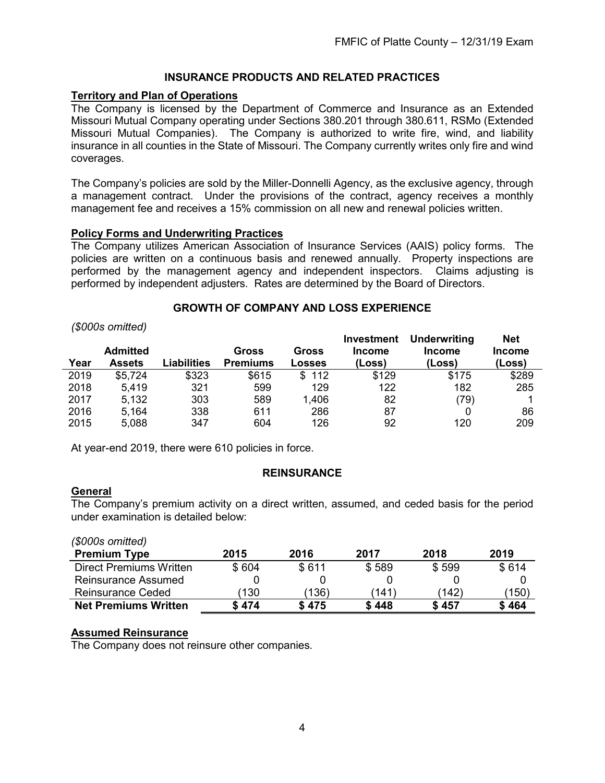# **INSURANCE PRODUCTS AND RELATED PRACTICES**

# <span id="page-7-1"></span><span id="page-7-0"></span>**Territory and Plan of Operations**

The Company is licensed by the Department of Commerce and Insurance as an Extended Missouri Mutual Company operating under Sections 380.201 through 380.611, RSMo (Extended Missouri Mutual Companies). The Company is authorized to write fire, wind, and liability insurance in all counties in the State of Missouri. The Company currently writes only fire and wind coverages.

The Company's policies are sold by the Miller-Donnelli Agency, as the exclusive agency, through a management contract. Under the provisions of the contract, agency receives a monthly management fee and receives a 15% commission on all new and renewal policies written.

#### <span id="page-7-2"></span>**Policy Forms and Underwriting Practices**

The Company utilizes American Association of Insurance Services (AAIS) policy forms. The policies are written on a continuous basis and renewed annually. Property inspections are performed by the management agency and independent inspectors. Claims adjusting is performed by independent adjusters. Rates are determined by the Board of Directors.

#### **GROWTH OF COMPANY AND LOSS EXPERIENCE**

#### <span id="page-7-3"></span>*(\$000s omitted)*

|      |                                  |             |                          |                 | <b>Investment</b>       | Underwriting            | <b>Net</b>              |
|------|----------------------------------|-------------|--------------------------|-----------------|-------------------------|-------------------------|-------------------------|
| Year | <b>Admitted</b><br><b>Assets</b> | Liabilities | Gross<br><b>Premiums</b> | Gross<br>Losses | <b>Income</b><br>(Loss) | <b>Income</b><br>(Loss) | <b>Income</b><br>(Loss) |
| 2019 | \$5,724                          | \$323       | \$615                    | 112<br>\$.      | \$129                   | \$175                   | \$289                   |
| 2018 | 5.419                            | 321         | 599                      | 129             | 122                     | 182                     | 285                     |
| 2017 | 5.132                            | 303         | 589                      | 1,406           | 82                      | (79)                    |                         |
| 2016 | 5,164                            | 338         | 611                      | 286             | 87                      |                         | 86                      |
| 2015 | 5,088                            | 347         | 604                      | 126             | 92                      | 120                     | 209                     |

At year-end 2019, there were 610 policies in force.

# **REINSURANCE**

#### <span id="page-7-5"></span><span id="page-7-4"></span>**General**

*(\$000s omitted)*

The Company's premium activity on a direct written, assumed, and ceded basis for the period under examination is detailed below:

| <b>Net Premiums Written</b>    | \$ 474 | \$475 | \$448       | \$457 | \$464 |
|--------------------------------|--------|-------|-------------|-------|-------|
| <b>Reinsurance Ceded</b>       | 130)   | (136) | $141^\circ$ | (142) | (150) |
| <b>Reinsurance Assumed</b>     |        |       |             |       |       |
| <b>Direct Premiums Written</b> | \$604  | \$611 | \$589       | \$599 | \$614 |
| <b>Premium Type</b>            | 2015   | 2016  | 2017        | 2018  | 2019  |
| (\$000S OMIIIEQ)               |        |       |             |       |       |

# <span id="page-7-6"></span>**Assumed Reinsurance**

The Company does not reinsure other companies.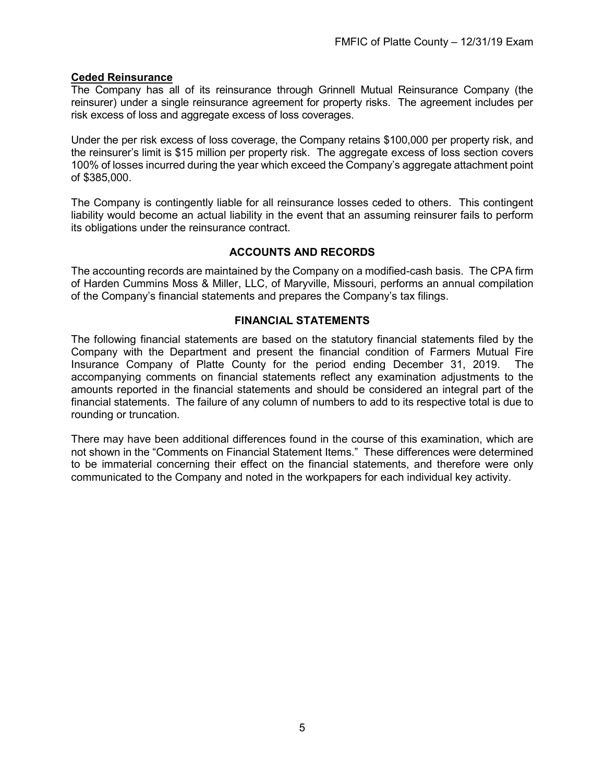# <span id="page-8-0"></span>**Ceded Reinsurance**

The Company has all of its reinsurance through Grinnell Mutual Reinsurance Company (the reinsurer) under a single reinsurance agreement for property risks. The agreement includes per risk excess of loss and aggregate excess of loss coverages.

Under the per risk excess of loss coverage, the Company retains \$100,000 per property risk, and the reinsurer's limit is \$15 million per property risk. The aggregate excess of loss section covers 100% of losses incurred during the year which exceed the Company's aggregate attachment point of \$385,000.

The Company is contingently liable for all reinsurance losses ceded to others. This contingent liability would become an actual liability in the event that an assuming reinsurer fails to perform its obligations under the reinsurance contract.

# **ACCOUNTS AND RECORDS**

<span id="page-8-1"></span>The accounting records are maintained by the Company on a modified-cash basis. The CPA firm of Harden Cummins Moss & Miller, LLC, of Maryville, Missouri, performs an annual compilation of the Company's financial statements and prepares the Company's tax filings.

# **FINANCIAL STATEMENTS**

<span id="page-8-2"></span>The following financial statements are based on the statutory financial statements filed by the Company with the Department and present the financial condition of Farmers Mutual Fire Insurance Company of Platte County for the period ending December 31, 2019. The accompanying comments on financial statements reflect any examination adjustments to the amounts reported in the financial statements and should be considered an integral part of the financial statements. The failure of any column of numbers to add to its respective total is due to rounding or truncation.

There may have been additional differences found in the course of this examination, which are not shown in the "Comments on Financial Statement Items." These differences were determined to be immaterial concerning their effect on the financial statements, and therefore were only communicated to the Company and noted in the workpapers for each individual key activity.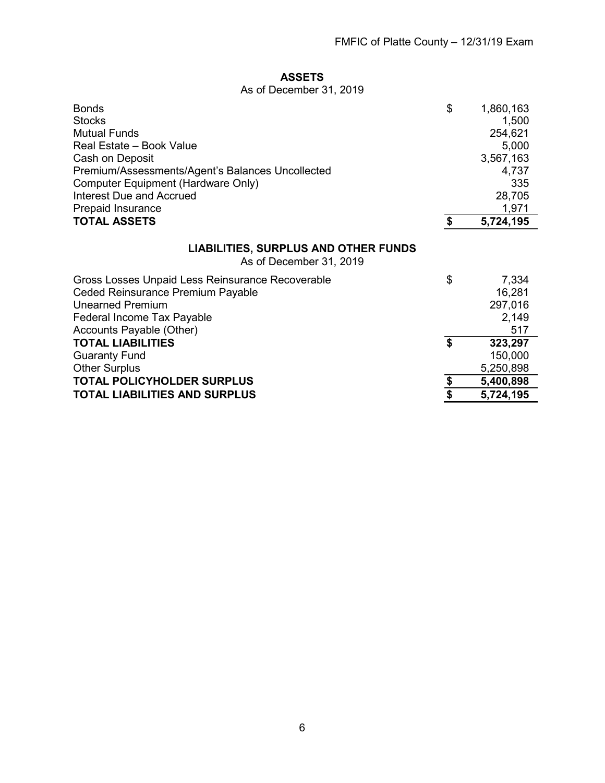# **ASSETS**

# As of December 31, 2019

<span id="page-9-1"></span><span id="page-9-0"></span>

| <b>Bonds</b><br><b>Stocks</b>                                          | \$<br>1,860,163<br>1,500 |
|------------------------------------------------------------------------|--------------------------|
| <b>Mutual Funds</b>                                                    | 254,621                  |
| Real Estate - Book Value                                               | 5,000                    |
| Cash on Deposit                                                        | 3,567,163                |
| Premium/Assessments/Agent's Balances Uncollected                       | 4,737                    |
| <b>Computer Equipment (Hardware Only)</b>                              | 335                      |
| <b>Interest Due and Accrued</b>                                        | 28,705                   |
| <b>Prepaid Insurance</b>                                               | 1,971                    |
| <b>TOTAL ASSETS</b>                                                    | \$<br>5,724,195          |
| <b>LIABILITIES, SURPLUS AND OTHER FUNDS</b><br>As of December 31, 2019 |                          |
| Gross Losses Unpaid Less Reinsurance Recoverable                       | \$<br>7,334              |
| Ceded Reinsurance Premium Payable                                      | 16,281                   |
| <b>Unearned Premium</b>                                                | 297,016                  |
| Federal Income Tax Payable                                             | 2,149                    |
| Accounts Payable (Other)                                               | 517                      |
| <b>TOTAL LIABILITIES</b>                                               | \$<br>323,297            |
| <b>Guaranty Fund</b>                                                   | 150,000                  |
| <b>Other Surplus</b>                                                   | 5,250,898                |
| <b>TOTAL POLICYHOLDER SURPLUS</b>                                      | \$<br>5,400,898          |

**TOTAL LIABILITIES AND SURPLUS \$ 5,724,195**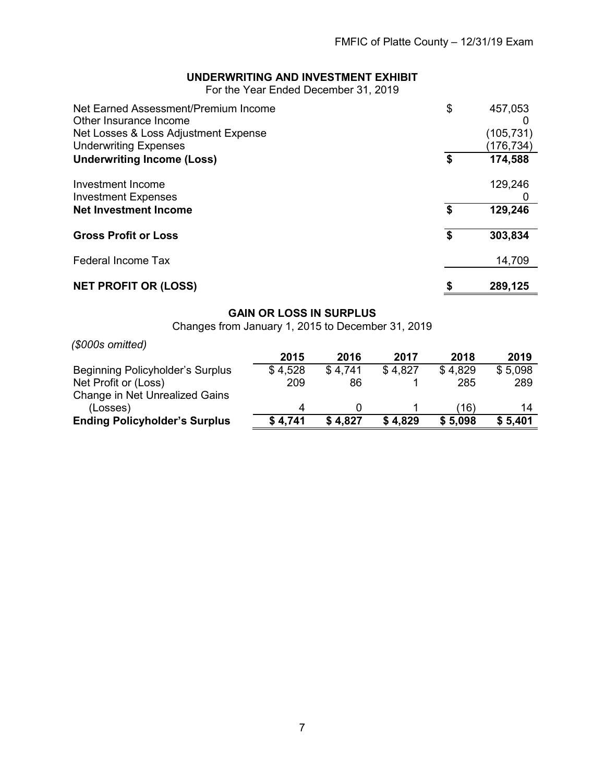# **UNDERWRITING AND INVESTMENT EXHIBIT**

For the Year Ended December 31, 2019

<span id="page-10-0"></span>

| Net Earned Assessment/Premium Income                           | \$<br>457,053 |
|----------------------------------------------------------------|---------------|
| Other Insurance Income<br>Net Losses & Loss Adjustment Expense | (105,731)     |
| <b>Underwriting Expenses</b>                                   | (176,734)     |
| <b>Underwriting Income (Loss)</b>                              | \$<br>174,588 |
| Investment Income                                              | 129,246       |
| <b>Investment Expenses</b>                                     |               |
| <b>Net Investment Income</b>                                   | \$<br>129,246 |
| <b>Gross Profit or Loss</b>                                    | \$<br>303,834 |
| <b>Federal Income Tax</b>                                      | 14,709        |
| <b>NET PROFIT OR (LOSS)</b>                                    | 289,125       |

# **GAIN OR LOSS IN SURPLUS**

Changes from January 1, 2015 to December 31, 2019

<span id="page-10-1"></span>

| (\$000s omitted)                      |         |         |         |         |         |
|---------------------------------------|---------|---------|---------|---------|---------|
|                                       | 2015    | 2016    | 2017    | 2018    | 2019    |
| Beginning Policyholder's Surplus      | \$4,528 | \$4,741 | \$4.827 | \$4,829 | \$5,098 |
| Net Profit or (Loss)                  | 209     | 86      |         | 285     | 289     |
| <b>Change in Net Unrealized Gains</b> |         |         |         |         |         |
| (Losses)                              | Δ       |         |         | (16)    | 14      |
| <b>Ending Policyholder's Surplus</b>  | \$4,741 | \$4,827 | \$4,829 | \$5,098 | \$5,401 |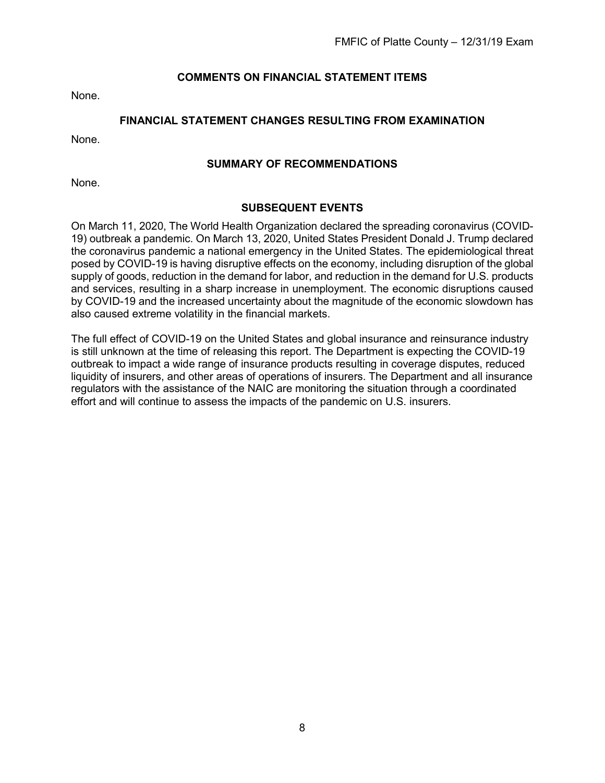# **COMMENTS ON FINANCIAL STATEMENT ITEMS**

<span id="page-11-0"></span>None.

# **FINANCIAL STATEMENT CHANGES RESULTING FROM EXAMINATION**

<span id="page-11-1"></span>None.

#### **SUMMARY OF RECOMMENDATIONS**

<span id="page-11-2"></span>None.

#### **SUBSEQUENT EVENTS**

<span id="page-11-3"></span>On March 11, 2020, The World Health Organization declared the spreading coronavirus (COVID-19) outbreak a pandemic. On March 13, 2020, United States President Donald J. Trump declared the coronavirus pandemic a national emergency in the United States. The epidemiological threat posed by COVID-19 is having disruptive effects on the economy, including disruption of the global supply of goods, reduction in the demand for labor, and reduction in the demand for U.S. products and services, resulting in a sharp increase in unemployment. The economic disruptions caused by COVID-19 and the increased uncertainty about the magnitude of the economic slowdown has also caused extreme volatility in the financial markets.

The full effect of COVID-19 on the United States and global insurance and reinsurance industry is still unknown at the time of releasing this report. The Department is expecting the COVID-19 outbreak to impact a wide range of insurance products resulting in coverage disputes, reduced liquidity of insurers, and other areas of operations of insurers. The Department and all insurance regulators with the assistance of the NAIC are monitoring the situation through a coordinated effort and will continue to assess the impacts of the pandemic on U.S. insurers.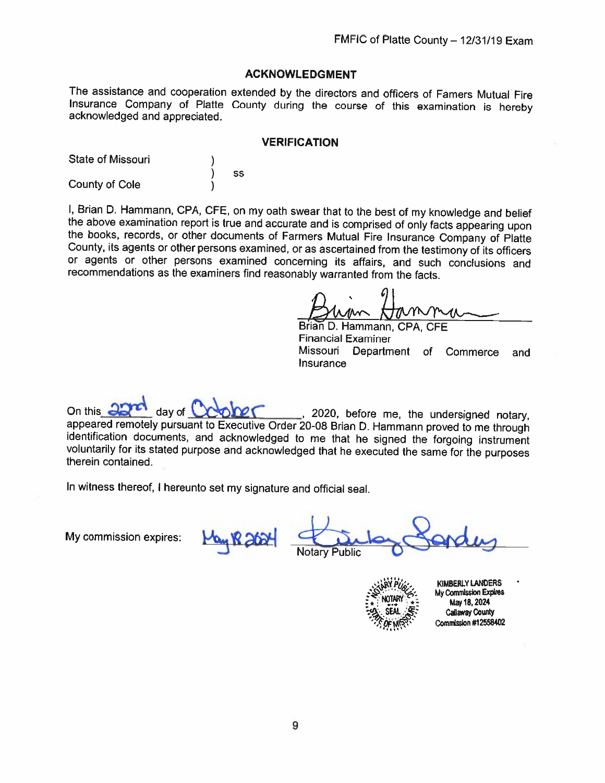#### **ACKNOWLEDGMENT**

The assistance and cooperation extended by the directors and officers of Famers Mutual Fire Insurance Company of Platte County during the course of this examination is hereby acknowledged and appreciated.

#### **VERIFICATION**

State of Missouri SS County of Cole

I, Brian D. Hammann, CPA, CFE, on my oath swear that to the best of my knowledge and belief the above examination report is true and accurate and is comprised of only facts appearing upon the books, records, or other documents of Farmers Mutual Fire Insurance Company of Platte County, its agents or other persons examined, or as ascertained from the testimony of its officers or agents or other persons examined concerning its affairs, and such conclusions and recommendations as the examiners find reasonably warranted from the facts.

Brian D. Hammann, CPA, CFE **Financial Examiner** Missouri Department of Commerce and Insurance

day of  $\mathbb{C}^*$ On this  $\epsilon$ , 2020, before me, the undersigned notary, appeared remotely pursuant to Executive Order 20-08 Brian D. Hammann proved to me through identification documents, and acknowledged to me that he signed the forgoing instrument voluntarily for its stated purpose and acknowledged that he executed the same for the purposes therein contained.

In witness thereof, I hereunto set my signature and official seal.

My commission expires:

'ublic

**KIMBERLY LANDERS** My Commission Expires May 18, 2024 **Callaway County** Commission #12558402